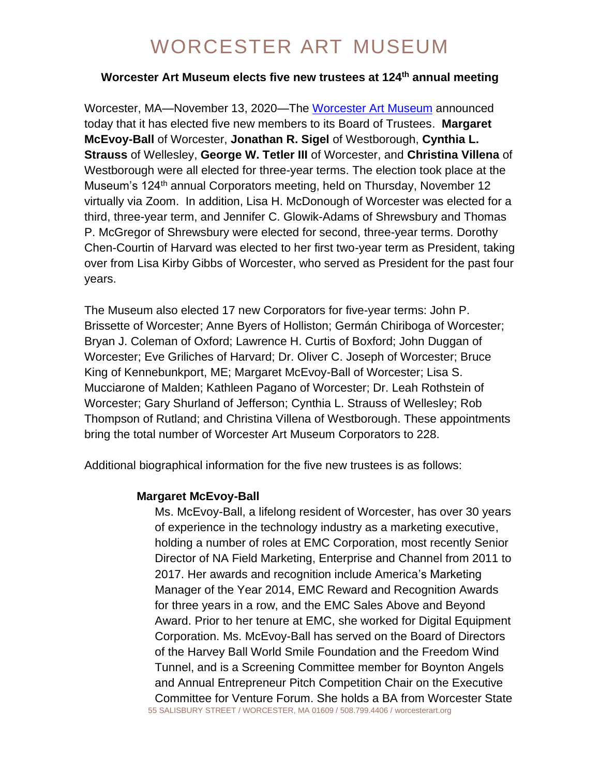### **Worcester Art Museum elects five new trustees at 124th annual meeting**

Worcester, MA—November 13, 2020—The [Worcester Art Museum](http://www.worcesterart.org/) announced today that it has elected five new members to its Board of Trustees. **Margaret McEvoy-Ball** of Worcester, **Jonathan R. Sigel** of Westborough, **Cynthia L. Strauss** of Wellesley, **George W. Tetler III** of Worcester, and **Christina Villena** of Westborough were all elected for three-year terms. The election took place at the Museum's 124<sup>th</sup> annual Corporators meeting, held on Thursday, November 12 virtually via Zoom. In addition, Lisa H. McDonough of Worcester was elected for a third, three-year term, and Jennifer C. Glowik-Adams of Shrewsbury and Thomas P. McGregor of Shrewsbury were elected for second, three-year terms. Dorothy Chen-Courtin of Harvard was elected to her first two-year term as President, taking over from Lisa Kirby Gibbs of Worcester, who served as President for the past four years.

The Museum also elected 17 new Corporators for five-year terms: John P. Brissette of Worcester; Anne Byers of Holliston; Germán Chiriboga of Worcester; Bryan J. Coleman of Oxford; Lawrence H. Curtis of Boxford; John Duggan of Worcester; Eve Griliches of Harvard; Dr. Oliver C. Joseph of Worcester; Bruce King of Kennebunkport, ME; Margaret McEvoy-Ball of Worcester; Lisa S. Mucciarone of Malden; Kathleen Pagano of Worcester; Dr. Leah Rothstein of Worcester; Gary Shurland of Jefferson; Cynthia L. Strauss of Wellesley; Rob Thompson of Rutland; and Christina Villena of Westborough. These appointments bring the total number of Worcester Art Museum Corporators to 228.

Additional biographical information for the five new trustees is as follows:

### **Margaret McEvoy-Ball**

55 SALISBURY STREET / WORCESTER, MA 01609 / 508.799.4406 / worcesterart.org Ms. McEvoy-Ball, a lifelong resident of Worcester, has over 30 years of experience in the technology industry as a marketing executive, holding a number of roles at EMC Corporation, most recently Senior Director of NA Field Marketing, Enterprise and Channel from 2011 to 2017. Her awards and recognition include America's Marketing Manager of the Year 2014, EMC Reward and Recognition Awards for three years in a row, and the EMC Sales Above and Beyond Award. Prior to her tenure at EMC, she worked for Digital Equipment Corporation. Ms. McEvoy-Ball has served on the Board of Directors of the Harvey Ball World Smile Foundation and the Freedom Wind Tunnel, and is a Screening Committee member for Boynton Angels and Annual Entrepreneur Pitch Competition Chair on the Executive Committee for Venture Forum. She holds a BA from Worcester State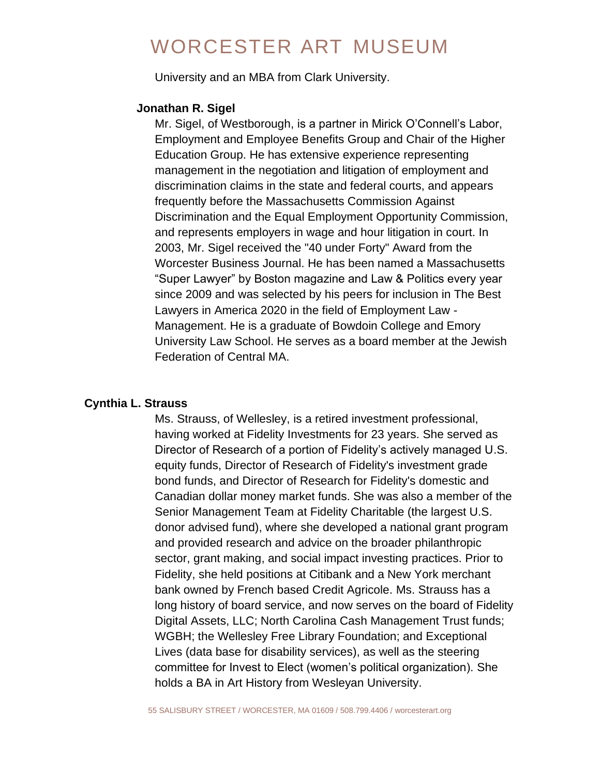University and an MBA from Clark University.

#### **Jonathan R. Sigel**

Mr. Sigel, of Westborough, is a partner in Mirick O'Connell's Labor, Employment and Employee Benefits Group and Chair of the Higher Education Group. He has extensive experience representing management in the negotiation and litigation of employment and discrimination claims in the state and federal courts, and appears frequently before the Massachusetts Commission Against Discrimination and the Equal Employment Opportunity Commission, and represents employers in wage and hour litigation in court. In 2003, Mr. Sigel received the "40 under Forty" Award from the Worcester Business Journal. He has been named a Massachusetts "Super Lawyer" by Boston magazine and Law & Politics every year since 2009 and was selected by his peers for inclusion in The Best Lawyers in America 2020 in the field of Employment Law - Management. He is a graduate of Bowdoin College and Emory University Law School. He serves as a board member at the Jewish Federation of Central MA.

### **Cynthia L. Strauss**

Ms. Strauss, of Wellesley, is a retired investment professional, having worked at Fidelity Investments for 23 years. She served as Director of Research of a portion of Fidelity's actively managed U.S. equity funds, Director of Research of Fidelity's investment grade bond funds, and Director of Research for Fidelity's domestic and Canadian dollar money market funds. She was also a member of the Senior Management Team at Fidelity Charitable (the largest U.S. donor advised fund), where she developed a national grant program and provided research and advice on the broader philanthropic sector, grant making, and social impact investing practices. Prior to Fidelity, she held positions at Citibank and a New York merchant bank owned by French based Credit Agricole. Ms. Strauss has a long history of board service, and now serves on the board of Fidelity Digital Assets, LLC; North Carolina Cash Management Trust funds; WGBH; the Wellesley Free Library Foundation; and Exceptional Lives (data base for disability services), as well as the steering committee for Invest to Elect (women's political organization). She holds a BA in Art History from Wesleyan University.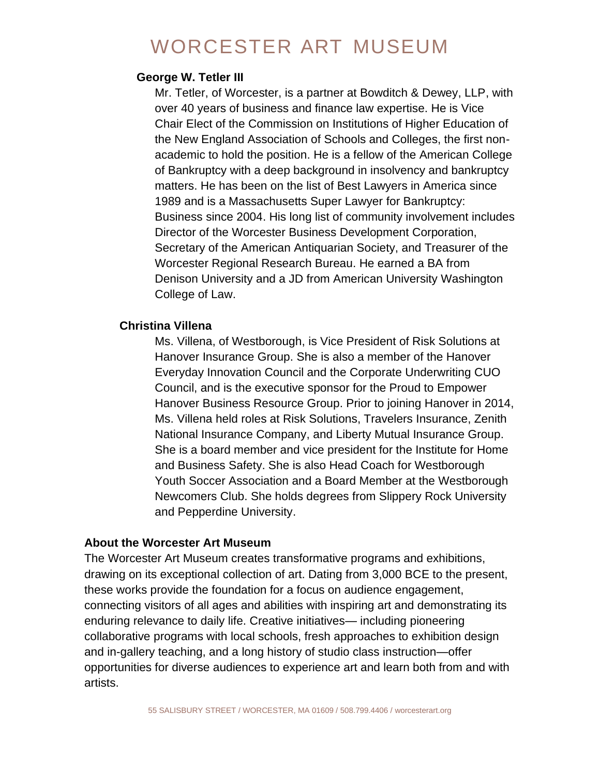### **George W. Tetler III**

Mr. Tetler, of Worcester, is a partner at Bowditch & Dewey, LLP, with over 40 years of business and finance law expertise. He is Vice Chair Elect of the Commission on Institutions of Higher Education of the New England Association of Schools and Colleges, the first nonacademic to hold the position. He is a fellow of the American College of Bankruptcy with a deep background in insolvency and bankruptcy matters. He has been on the list of Best Lawyers in America since 1989 and is a Massachusetts Super Lawyer for Bankruptcy: Business since 2004. His long list of community involvement includes Director of the Worcester Business Development Corporation, Secretary of the American Antiquarian Society, and Treasurer of the Worcester Regional Research Bureau. He earned a BA from Denison University and a JD from American University Washington College of Law.

### **Christina Villena**

Ms. Villena, of Westborough, is Vice President of Risk Solutions at Hanover Insurance Group. She is also a member of the Hanover Everyday Innovation Council and the Corporate Underwriting CUO Council, and is the executive sponsor for the Proud to Empower Hanover Business Resource Group. Prior to joining Hanover in 2014, Ms. Villena held roles at Risk Solutions, Travelers Insurance, Zenith National Insurance Company, and Liberty Mutual Insurance Group. She is a board member and vice president for the Institute for Home and Business Safety. She is also Head Coach for Westborough Youth Soccer Association and a Board Member at the Westborough Newcomers Club. She holds degrees from Slippery Rock University and Pepperdine University.

### **About the Worcester Art Museum**

The Worcester Art Museum creates transformative programs and exhibitions, drawing on its exceptional collection of art. Dating from 3,000 BCE to the present, these works provide the foundation for a focus on audience engagement, connecting visitors of all ages and abilities with inspiring art and demonstrating its enduring relevance to daily life. Creative initiatives— including pioneering collaborative programs with local schools, fresh approaches to exhibition design and in-gallery teaching, and a long history of studio class instruction—offer opportunities for diverse audiences to experience art and learn both from and with artists.